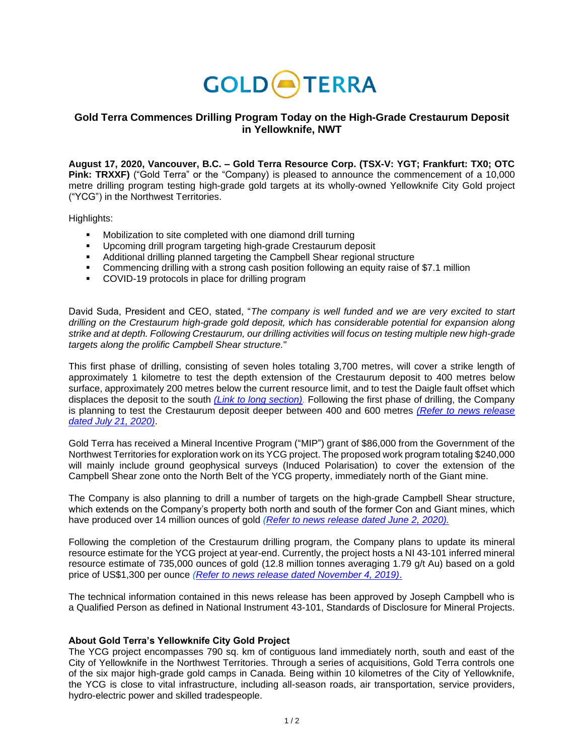

## **Gold Terra Commences Drilling Program Today on the High-Grade Crestaurum Deposit in Yellowknife, NWT**

**August 17, 2020, Vancouver, B.C. – Gold Terra Resource Corp. (TSX-V: YGT; Frankfurt: TX0; OTC Pink: TRXXF)** ("Gold Terra" or the "Company) is pleased to announce the commencement of a 10,000 metre drilling program testing high-grade gold targets at its wholly-owned Yellowknife City Gold project ("YCG") in the Northwest Territories.

Highlights:

- Mobilization to site completed with one diamond drill turning
- Upcoming drill program targeting high-grade Crestaurum deposit
- Additional drilling planned targeting the Campbell Shear regional structure
- Commencing drilling with a strong cash position following an equity raise of \$7.1 million
- COVID-19 protocols in place for drilling program

David Suda, President and CEO, stated, "*The company is well funded and we are very excited to start drilling on the Crestaurum high-grade gold deposit, which has considerable potential for expansion along strike and at depth. Following Crestaurum, our drilling activities will focus on testing multiple new high-grade targets along the prolific Campbell Shear structure.*"

This first phase of drilling, consisting of seven holes totaling 3,700 metres, will cover a strike length of approximately 1 kilometre to test the depth extension of the Crestaurum deposit to 400 metres below surface, approximately 200 metres below the current resource limit, and to test the Daigle fault offset which displaces the deposit to the south *[\(Link to long section\).](https://goldterracorp.com/site/assets/files/2960/2020-07-20_2d_crest_longsec.png)* Following the first phase of drilling, the Company is planning to test the Crestaurum deposit deeper between 400 and 600 metres *[\(Refer to news release](https://www.goldterracorp.com/news/gold-terra-announces-its-drilling-program-for-summ-1700/)  [dated July 21, 2020\)](https://www.goldterracorp.com/news/gold-terra-announces-its-drilling-program-for-summ-1700/)*.

Gold Terra has received a Mineral Incentive Program ("MIP") grant of \$86,000 from the Government of the Northwest Territories for exploration work on its YCG project. The proposed work program totaling \$240,000 will mainly include ground geophysical surveys (Induced Polarisation) to cover the extension of the Campbell Shear zone onto the North Belt of the YCG property, immediately north of the Giant mine.

The Company is also planning to drill a number of targets on the high-grade Campbell Shear structure, which extends on the Company's property both north and south of the former Con and Giant mines, which have produced over 14 million ounces of gold *[\(Refer to news release dated June](https://www.goldterracorp.com/news/gold-terra-announces-compilation-and-drilling-of-prolific-campbell-shear-target-in-yellowknife/) 2, 2020).*

Following the completion of the Crestaurum drilling program, the Company plans to update its mineral resource estimate for the YCG project at year-end. Currently, the project hosts a NI 43-101 inferred mineral resource estimate of 735,000 ounces of gold (12.8 million tonnes averaging 1.79 g/t Au) based on a gold price of US\$1,300 per ounce *[\(Refer to news release dated November 4, 2019\)](https://www.goldterracorp.com/news/terrax-announces-first-mineral-resource-estimate-for-yellowknife-city-gold-project-735-000-inferred-ounces/)*.

The technical information contained in this news release has been approved by Joseph Campbell who is a Qualified Person as defined in National Instrument 43-101, Standards of Disclosure for Mineral Projects.

## **About Gold Terra's Yellowknife City Gold Project**

The YCG project encompasses 790 sq. km of contiguous land immediately north, south and east of the City of Yellowknife in the Northwest Territories. Through a series of acquisitions, Gold Terra controls one of the six major high-grade gold camps in Canada. Being within 10 kilometres of the City of Yellowknife, the YCG is close to vital infrastructure, including all-season roads, air transportation, service providers, hydro-electric power and skilled tradespeople.